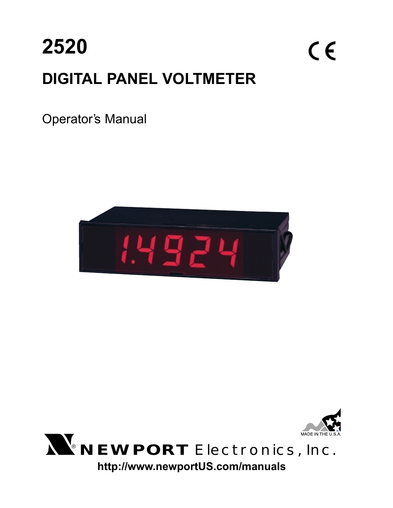

## Operator's Manual





# ® **NEWPORT** Electronics,Inc.

**http://www.newportUS.com/manuals**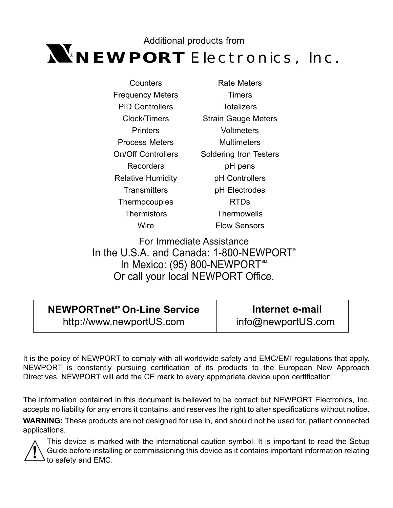## $N_{\!\!\rm e}$ NEWPORT Electronics, Inc. Additional products from

| Counters                  |  |  |  |
|---------------------------|--|--|--|
| Frequency Meters          |  |  |  |
| <b>PID Controllers</b>    |  |  |  |
| Clock/Timers              |  |  |  |
| Printers                  |  |  |  |
| <b>Process Meters</b>     |  |  |  |
| <b>On/Off Controllers</b> |  |  |  |
| Recorders                 |  |  |  |
| <b>Relative Humidity</b>  |  |  |  |
| Transmitters              |  |  |  |
| Thermocouples             |  |  |  |
| Thermistors               |  |  |  |
| Wire                      |  |  |  |

Rate Meters **Timers Totalizers** Strain Gauge Meters **Voltmeters Multimeters** Soldering Iron Testers pH pens pH Controllers pH Electrodes RTDs **Thermowells** Flow Sensors

For Immediate Assistance In the U.S.A. and Canada: 1-800-NEWPORT<sup>®</sup> In Mexico: (95) 800-NEWPORT<sup>5M</sup> Or call your local NEWPORT Office.

## **NEWPORTnet<sup>™</sup> On-Line Service** http://www.newportUS.com

**Internet e-mail** info@newportUS.com

It is the policy of NEWPORT to comply with all worldwide safety and EMC/EMI regulations that apply. NEWPORT is constantly pursuing certification of its products to the European New Approach Directives. NEWPORT will add the CE mark to every appropriate device upon certification.

The information contained in this document is believed to be correct but NEWPORT Electronics, Inc. accepts no liability for any errors it contains, and reserves the right to alter specifications without notice.

**WARNING:** These products are not designed for use in, and should not be used for, patient connected applications.



This device is marked with the international caution symbol. It is important to read the Setup Guide before installing or commissioning this device as it contains important information relating to safety and EMC.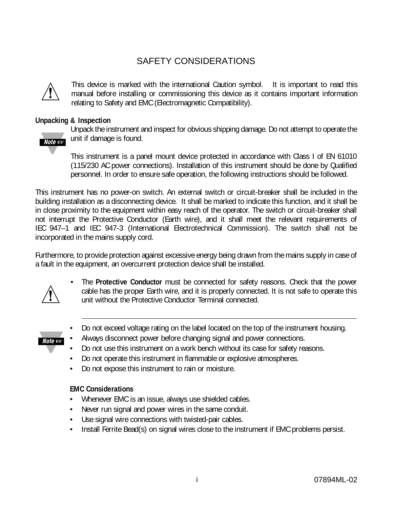## SAFETY CONSIDERATIONS



This device is marked with the international Caution symbol. It is important to read this manual before installing or commissioning this device as it contains important information relating to Safety and EMC (Electromagnetic Compatibility).

#### **Unpacking & Inspection**



Unpack the instrument and inspect for obvious shipping damage. Do not attempt to operate the unit if damage is found.

This instrument is a panel mount device protected in accordance with Class I of EN 61010 (115/230 AC power connections). Installation of this instrument should be done by Qualified personnel. In order to ensure safe operation, the following instructions should be followed.

This instrument has no power-on switch. An external switch or circuit-breaker shall be included in the building installation as a disconnecting device. It shall be marked to indicate this function, and it shall be in close proximity to the equipment within easy reach of the operator. The switch or circuit-breaker shall not interrupt the Protective Conductor (Earth wire), and it shall meet the relevant requirements of IEC 947–1 and IEC 947-3 (International Electrotechnical Commission). The switch shall not be incorporated in the mains supply cord.

Furthermore, to provide protection against excessive energy being drawn from the mains supply in case of a fault in the equipment, an overcurrent protection device shall be installed.



• The **Protective Conductor** must be connected for safety reasons. Check that the power cable has the proper Earth wire, and it is properly connected. It is not safe to operate this unit without the Protective Conductor Terminal connected.



- Do not exceed voltage rating on the label located on the top of the instrument housing.
- Always disconnect power before changing signal and power connections.
- Do not use this instrument on a work bench without its case for safety reasons.
- Do not operate this instrument in flammable or explosive atmospheres.
- Do not expose this instrument to rain or moisture.

#### **EMC Considerations**

- Whenever EMC is an issue, always use shielded cables.
- Never run signal and power wires in the same conduit.
- Use signal wire connections with twisted-pair cables.
- Install Ferrite Bead(s) on signal wires close to the instrument if EMC problems persist.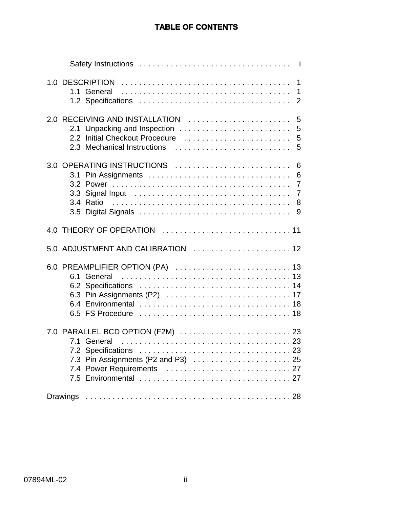### **TABLE OF CONTENTS**

| 1<br>1.1 General<br>$\mathbf 1$<br>$\overline{2}$                                                                                                      |
|--------------------------------------------------------------------------------------------------------------------------------------------------------|
| 2.0 RECEIVING AND INSTALLATION<br>5<br>2.1 Unpacking and Inspection<br>5<br>Initial Checkout Procedure<br>5<br>2.2<br>2.3 Mechanical Instructions<br>5 |
| 3.0 OPERATING INSTRUCTIONS<br>6<br>6<br>$\overline{7}$<br>3.2<br>$\overline{7}$<br>3.3<br>3.4 Ratio<br>8<br>9                                          |
|                                                                                                                                                        |
| 5.0 ADJUSTMENT AND CALIBRATION  12                                                                                                                     |
| 6.1 General                                                                                                                                            |
|                                                                                                                                                        |
|                                                                                                                                                        |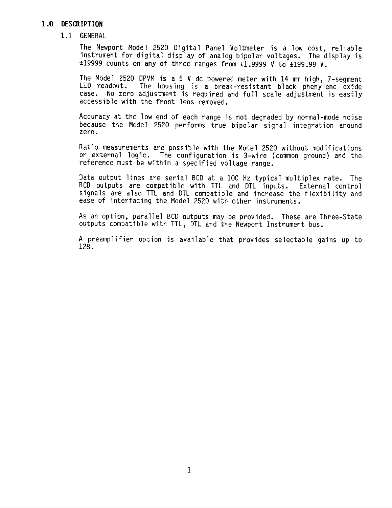#### 1.0 DESCRIPTION

#### 1.1 GENERAL

The Newport Model 2520 Digital Panel Voltmeter is a low cost, reliable instrument for digital display of analog bipolar voltages. The display is  $\pm$ 19999 counts on any of three ranges from  $\pm$ 1.9999 V to  $\pm$ 199.99 V.

The Model 2520 DPVM is a 5 V dc powered meter with 14 mm high, 7-segment LED readout. The housing is a break-resistant black phenylene oxide case. No zero adjustment is required and full scale adjustment is easily accessible with the front lens removed.

Accuracy at the low end of each range is not degraded by normal-mode noise because the Model 2520 performs true bipolar signal integration around zero.

Ratio measurements are possible with the Model 2520 without modifications or external logic. The configuration is 3-wire (common ground) and the reference must be within a specified voltage range.

Data output lines are serial BCD at a 100 Hz typical multiplex rate. The BCD outputs are compatible with TTL and DTL inputs. External control signals are also TTL and DTL compatible and increase the flexibility and ease of interfacing the Model 2520 with other instruments.

As an option, parallel BCD outputs may be provided. These are Three-State outputs compatible with TTL, DTL and the Newport Instrument bus.

A preamplifier option is available that provides selectable gains up to 128.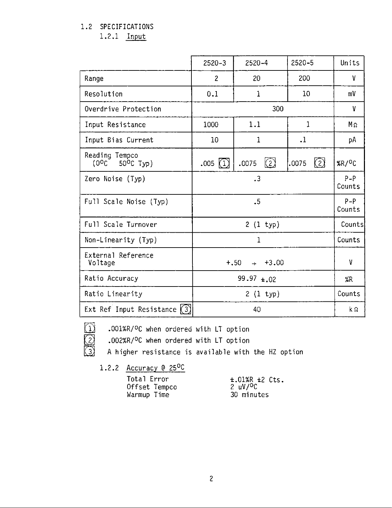#### 1.2 SPECIFICATIONS

 $1.2.1$  Input

|                                         | $2520 - 3$                    | $2520 - 4$        | 2520-5          | Units                |
|-----------------------------------------|-------------------------------|-------------------|-----------------|----------------------|
| Range                                   | $\overline{2}$                | 20                | 200             | ٧                    |
| Resolution                              | 0.1                           | $\mathbf{1}$      | 10 <sup>°</sup> | mV                   |
| Overdrive Protection                    |                               | 300               |                 | ٧                    |
| Input Resistance                        | 1000                          | 1.1               | 1               | $M_{\Omega}$         |
| Input Bias Current                      | 10                            | $\mathbf{1}$      | $\cdot$         | рA                   |
| Reading Tempco<br>$(0^0C - 50^0C)$ Typ) | .005(1)                       | $\Omega$<br>.0075 | (2)<br>.0075    | $XR/$ <sup>O</sup> C |
| Zero Noise (Typ)                        | $\cdot$ <sup>3</sup>          |                   |                 | $P - P$<br>Counts    |
| Full Scale Noise (Typ)                  | $\cdot$                       |                   |                 | $P - P$<br>Counts    |
| Full Scale Turnover                     |                               | $2(1 +yp)$        |                 | Counts               |
| Non-Linearity (Typ)                     |                               | 1                 |                 | Counts               |
| External Reference<br>Voltage           | $+.50$<br>$\rightarrow$ +3.00 |                   |                 | ٧                    |
| Ratio Accuracy                          | $99.97 \pm 0.02$              |                   |                 | %R                   |
| Ratio Linearity                         | $2(1 +yp)$                    |                   |                 | Counts               |
| Ext Ref Input Resistance $(3)$          | 40                            |                   |                 | kΩ                   |

.001%R/OC when ordered with LT option

.002%R/<sup>O</sup>C when ordered with LT option

A higher resistance is available with the HZ option

1.2.2 Accuracy @ 25°C

DOD

| Total Error |               |
|-------------|---------------|
|             | Offset Tempco |
| Warmup Time |               |

 $\pm .01\%$ R  $\pm 2$  Cts.<br>2 uV/<sup>O</sup>C 30 minutes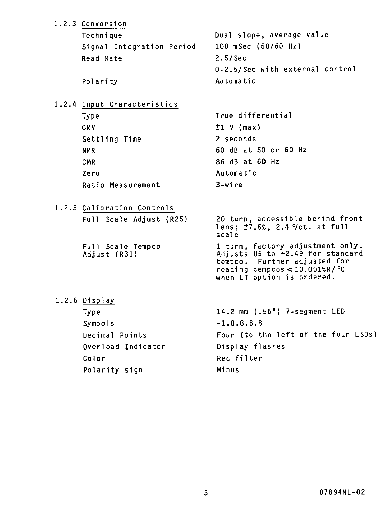| 1.2.3 Conversion                  |                                                                                                                                                                                      |
|-----------------------------------|--------------------------------------------------------------------------------------------------------------------------------------------------------------------------------------|
| Technique                         | Dual slope, average value                                                                                                                                                            |
| Signal Integration Period         | 100 mSec (50/60 Hz)                                                                                                                                                                  |
| Read Rate                         | $2.5/$ Sec                                                                                                                                                                           |
|                                   | 0-2.5/Sec with external control                                                                                                                                                      |
| Polarity                          | Automatic                                                                                                                                                                            |
|                                   |                                                                                                                                                                                      |
| 1.2.4 Input Characteristics       |                                                                                                                                                                                      |
| Type                              | True differential                                                                                                                                                                    |
| CMV                               | $\pm 1$ V (max)                                                                                                                                                                      |
| Settling Time                     | 2 seconds                                                                                                                                                                            |
| <b>NMR</b>                        | 60 dB at 50 or 60 Hz                                                                                                                                                                 |
| <b>CMR</b>                        | 86 dB at 60 Hz                                                                                                                                                                       |
| Zero                              | Automatic                                                                                                                                                                            |
| Ratio Measurement                 | $3-wire$                                                                                                                                                                             |
| 1.2.5 Calibration Controls        |                                                                                                                                                                                      |
| Full Scale Adjust (R25)           | 20 turn, accessible behind front                                                                                                                                                     |
|                                   | lens; $\pm 7.5\%$ , 2.4 $\sqrt{ct}$ . at full<br>scale                                                                                                                               |
| Full Scale Tempco<br>Adjust (R31) | 1 turn, factory adjustment only.<br>Adjusts U5 to +2.49 for standard<br>tempco. Further adjusted for<br>reading tempcos $<$ $\pm$ 0.001%R/ $\degree$ C<br>when LT option is ordered. |
| 1.2.6 Display                     |                                                                                                                                                                                      |
| Type                              | 14.2 mm (.56") 7-segment LED                                                                                                                                                         |

 $-1.8.8.8.8$ 

Red filter

Minus

Display flashes

Four (to the left of the four LSDs)

Symbols

Color

Decimal Points

Polarity sign

Overload Indicator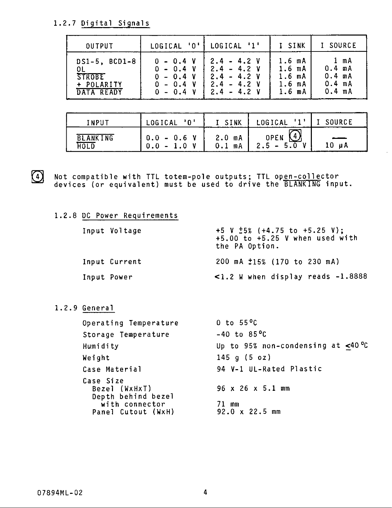1.2.7 Digital Signals

| <b>OUTPUT</b>                                                   | LOGICAL '0' }                                                           | LOGICAL '1'                                                                       | I SINK                                                                                 | I SOURCE                                                     |
|-----------------------------------------------------------------|-------------------------------------------------------------------------|-----------------------------------------------------------------------------------|----------------------------------------------------------------------------------------|--------------------------------------------------------------|
| $DS1-5$ , $BCD1-8$<br><b>STROBE</b><br>+ POLARITY<br>DATA READY | $0 - 0.4 V$<br>$0 - 0.4 V$<br>$0 - 0.4 V$<br>$0 - 0.4 V$<br>$0 - 0.4 V$ | $2.4 - 4.2$ V<br>$2.4 - 4.2 V$<br>$2.4 - 4.2 V$<br>$2.4 - 4.2$ V<br>$2.4 - 4.2$ V | 1.6 <sub>m</sub> A<br>$1.6$ mA<br>1.6 <sub>m</sub> A<br>1.6 <sub>m</sub> A<br>$1.6$ mA | 1 m A<br>0.4 mA<br>0.4 <sub>mA</sub><br>0.4 mA<br>$0.4$ $mA$ |

| INPUT                   | LOGICAL '0'          | I SINK              | LOGICAL '1              | SOURCE |
|-------------------------|----------------------|---------------------|-------------------------|--------|
| <b>BLANKING</b><br>HOLD | $0.0 - 0.6 V$<br>0.0 | 2.0 mA<br>mA<br>0.1 | OPEN<br><b>A</b><br>2.5 | 10 µA  |



Not compatible with TTL totem-pole outputs; TTL open-collector<br>devices (or equivalent) must be used to drive the BLANKING input.

|  |  |  |  |  |  | 1.2.8 DC Power Requirements |
|--|--|--|--|--|--|-----------------------------|
|--|--|--|--|--|--|-----------------------------|

|             | Input Voltage | +5 V $\pm$ 5% (+4.75 to +5.25 V);<br>$+5.00$ to $+5.25$ V when used with<br>the PA Option. |
|-------------|---------------|--------------------------------------------------------------------------------------------|
|             | Input Current | 200 mA $\pm 15\%$ (170 to 230 mA)                                                          |
| Input Power |               | $\leq$ 1.2 W when display reads $-1.8888$                                                  |

1.2.9 General

| Operating Temperature                                                                    | $0$ to $55^{\circ}$ C                                                  |
|------------------------------------------------------------------------------------------|------------------------------------------------------------------------|
| Storage Temperature                                                                      | $-40$ to $85^{\circ}$ C                                                |
| Humidity                                                                                 | Up to 95% non-condensing at $<$ 40 °C                                  |
| Weight                                                                                   | $145$ g (5 oz)                                                         |
| Case Material                                                                            | 94 V-1 UL-Rated Plastic                                                |
| Case Size<br>Bezel (WxHxT)<br>Depth behind bezel<br>with connector<br>Panel Cutout (WxH) | $96 \times 26 \times 5.1 \text{ mm}$<br>71 mm<br>$92.0 \times 22.5$ mm |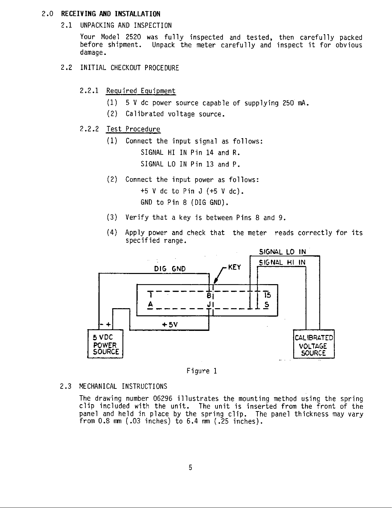#### 2.0 RECEIVING AND INSTALLATION

2.1 UNPACKING AND INSPECTION

Your Model 2520 was fully inspected and tested, then carefully packed before shipment. Unpack the meter carefully and inspect it for obvious damage.

- 2.2 INITIAL CHECKOUT PROCEDURE
	- 2.2.1 Required Equipment
		- $(1)$ 5 V dc power source capable of supplying 250 mA.
		- (2) Calibrated voltage source.

#### 2.2.2 Test Procedure

(1) Connect the input signal as follows: SIGNAL HI IN Pin 14 and R. SIGNAL LO IN Pin 13 and P.

- (2) Connect the input power as follows:  $+5$  V dc to Pin J  $(+5$  V dc). GND to Pin 8 (DIG GND).
- (3) Verify that a key is between Pins 8 and 9.
- $(4)$ Apply power and check that the meter reads correctly for its specified range.



Figure 1

#### 2.3 MECHANICAL INSTRUCTIONS

The drawing number 06296 illustrates the mounting method using the spring clip included with the unit. The unit is inserted from the front of the panel and held in place by the spring clip. The panel thickness may vary from  $0.8 \, \text{mm}$  (.03 inches) to  $6.4 \, \text{mm}$  (.25 inches).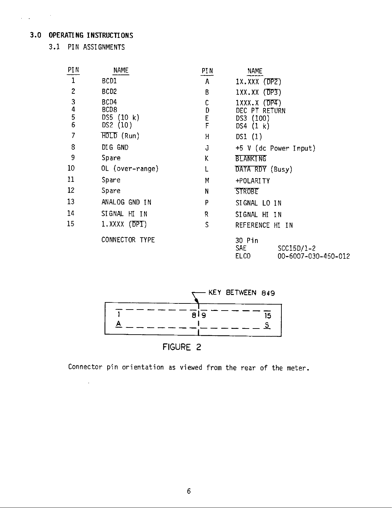#### 3.0 OPERATING INSTRUCTIONS

 $\mathcal{L}^{\mathcal{A}}(\mathbf{z})$  and  $\mathcal{L}^{\mathcal{A}}(\mathbf{z})$ 

3.1 PIN ASSIGNMENTS

 $\sim 10$ 

| <b>PIN</b>                                 | <b>NAME</b>      | PIN | <b>NAME</b>                                                       |  |  |
|--------------------------------------------|------------------|-----|-------------------------------------------------------------------|--|--|
|                                            | BCD1             | A   | $1X.XXX$ (DPZ)                                                    |  |  |
| $\mathbf{2}$                               | BCD <sub>2</sub> | В   | $1XX$ .XX $(DP3)$                                                 |  |  |
| $\mathbf{3}$                               | BCD4             | С   | 1XXX.X (DP4)                                                      |  |  |
| $\begin{array}{c} 4 \\ 5 \\ 6 \end{array}$ | BCD8             | D   | DEC PT RETURN                                                     |  |  |
|                                            | DS5(10 k)        | E   | DS3(100)                                                          |  |  |
|                                            | DS2(10)          | F   | DS4 $(1 k)$                                                       |  |  |
| 7                                          | $HOLD$ (Run)     | Н   | DSI $(1)$                                                         |  |  |
| 8                                          | DIG GND          | J   | $+5$ V (dc Power Input)                                           |  |  |
| 9                                          | Spare            | Κ   | <b>BLANKING</b>                                                   |  |  |
| 10 <sup>°</sup>                            | OL (over-range)  | L   | DATA RDY (Busy)                                                   |  |  |
| 11                                         | Spare            | Μ   | +POLARITY                                                         |  |  |
| 12                                         | Spare            | N   | <b>STROBE</b>                                                     |  |  |
| 13                                         | ANALOG GND IN    | P   | SIGNAL LO IN                                                      |  |  |
| 14                                         | SIGNAL HI IN     | R   | SIGNAL HI IN                                                      |  |  |
| 15                                         | 1.XXXX (DPI)     | S   | REFERENCE HI IN                                                   |  |  |
|                                            | CONNECTOR TYPE   |     | 30 Pin<br>SAE<br>SCC15D/1-2<br><b>ELCO</b><br>00-6007-030-450-012 |  |  |



Connector pin orientation as viewed from the rear of the meter.

 $\boldsymbol{6}$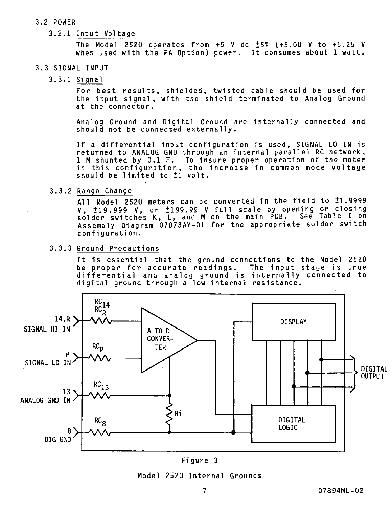#### 3.2 POWER

#### 3.2.1 Input Voltage

The Model 2520 operates from  $+5$  V dc  $\pm 5\%$  (+5.00 V to  $+5.25$  V when used with the PA Option) power. It consumes about 1 watt.

#### 3.3 SIGNAL INPUT

#### $3.3.1$  Signal

For best results, shielded, twisted cable should be used for the input signal, with the shield terminated to Analog Ground at the connector.

Analog Ground and Digital Ground are internally connected and should not be connected externally.

If a differential input configuration is used, SIGNAL LO IN is returned to ANALOG GND through an internal parallel RC network, 1 M shunted by 0.1 F. To insure proper operation of the meter in this configuration, the increase in common mode voltage should be limited to <sup>+</sup>1 volt.

#### 3.3.2 Range Change

All Model 2520 meters can be converted in the field to ±1.9999 V, 119.999 V, or 1199.99 V full scale by opening or closing<br>solder switches K, L, and M on the main PCB. See Table I on Assembly Diagram 07873AY-01 for the appropriate solder switch configuration.

#### 3.3.3 Ground Precautions

It is essential that the ground connections to the Model 2520 be proper for accurate readings. The input stage is true<br>differential and analog ground is internally connected to digital ground through a low internal resistance.



#### Figure 3

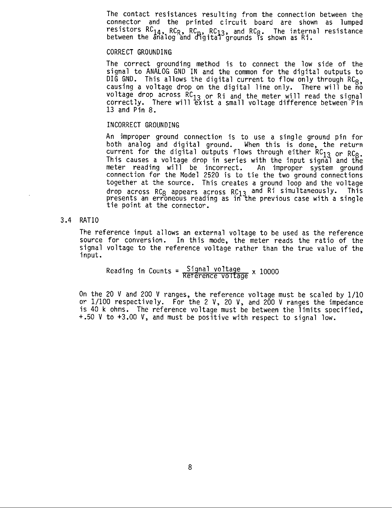The contact resistances resulting from the connection between the connector and the printed circuit board are shown as lumped resistors  $RC_{14}$ ,  $RC_R$ ,  $RC_D$ ,  $RC_{13}$ , and  $RC_B$ . The internal resistance between the analog and digital grounds is shown as  $R$ i.

#### CORRECT GROUNDING

The correct grounding method is to connect the low side of the signal to ANALOG GND IN and the common for the digital outputs to DIG GND. This allows the digital current to flow only through  $RC_{8}$ , causing a voltage drop on the digital line only. There will be no voltage drop across RC13 or Ri and the meter will read the signal correctly. There will exist a small voltage difference between Pin 13 and Pin 8.

#### INCORRECT GROUNDING

An improper ground connection is to use a single ground pin for both analog and digital ground. When this is done, the return current for the digital outputs flows through either RC<sub>13</sub> or RC<sub>8</sub>. This causes a voltage drop in series with the input signal and the meter reading will be incorrect. An improper system ground connection for the Model 2520 is to tie the two ground connections together at the source. This creates a ground loop and the voltage drop across  $RC_8$  appears across  $RC_{13}$  and  $R_i$  simultaneously. This presents an erroneous reading as in the previous case with a single tie point at the connector.

#### 3.4 RATIO

The reference input allows an external voltage to be used as the reference source for conversion. In this mode, the meter reads the ratio of the signal voltage to the reference voltage rather than the true value of the input.

Reading in Counts =  $\frac{Signal\ voltage}{Reference\ voltage} \times 10000$ 

On the 20 V and 200 V ranges, the reference voltage must be scaled by 1/10 or  $1/100$  respectively. For the 2 V, 20 V, and 200 V ranges the impedance is 40 k ohms. The reference voltage must be between the limits specified, +.50 V to +3.00 V, and must be positive with respect to signal low.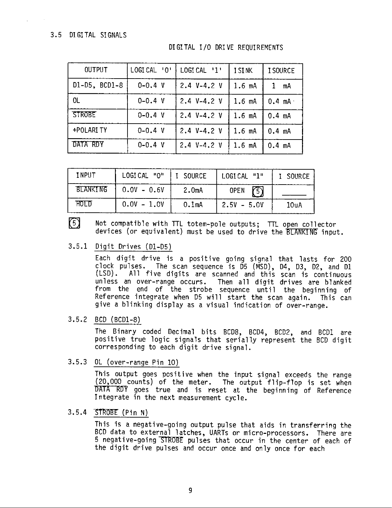#### 3.5 DIGITAL SIGNALS

DIGITAL I/O DRIVE REQUIREMENTS

| <b>OUTPUT</b> | LOGICAL '0' | LOGICAL '1'   | I SINK            | I SOURCE         |
|---------------|-------------|---------------|-------------------|------------------|
| D1-D5, BCD1-8 | $0 - 0.4 V$ | 2.4 $V-4.2$ V | $1.6$ mA          | mA               |
| <b>OL</b>     | $0 - 0.4 V$ | $2.4 V-4.2 V$ | 1.6 <sub>mA</sub> | $0.4$ mA $\cdot$ |
| <b>STROBE</b> | $0 - 0.4 V$ | 2.4 $V-4.2$ V | $1.6$ mA          | $0.4 \, mA$      |
| +POLARI TY    | $0 - 0.4 V$ | 2.4 $V-4.2$ V | $1.6 \, mA$       | $0.4 \, mA$      |
| DATA RDY      | $0 - 0.4 V$ | 2.4 $V-4.2$ V | $1.6$ $mA$        | $0.4$ mA         |

| INPUT           | LOGICAL "O"   | I SOURCE           | LOGICAL "1"   | I SOURCE |
|-----------------|---------------|--------------------|---------------|----------|
| <b>BLANKING</b> | $0.0V - 0.6V$ | 2.0 <sub>m</sub> A | 不<br>OPEN     |          |
| HOLD            | $0.0V - 1.0V$ | 0.1 <sub>mA</sub>  | $2.5V - 5.0V$ | 10uA     |

 $\lceil 5 \rceil$ Not compatible with TTL totem-pole outputs; TTL open collector devices (or equivalent) must be used to drive the BLANKING input.

3.5.1 Digit Drives (D1-D5)

Each digit drive is a positive going signal that lasts for 200 clock pulses. The scan sequence is D5 (MSD), D4, D3, D2, and D1 (LSD). All five digits are scanned and this scan is continuous unless an over-range occurs. Then all digit drives are blanked from the end of the strobe sequence until the beginning of Reference integrate when D5 will start the scan again. This can give a blinking display as a visual indication of over-range.

 $3.5.2$  BCD (BCD1-8)

The Binary coded Decimal bits BCD8, BCD4, BCD2, and BCD1 are positive true logic signals that serially represent the BCD digit corresponding to each digit drive signal.

3.5.3 OL (over-range Pin 10)

This output goes positive when the input signal exceeds the range (20,000 counts) of the meter. The output flip-flop is set when DATA RDY goes true and is reset at the beginning of Reference Integrate in the next measurement cycle.

 $3.5.4$  STROBE (Pin N)

This is a negative-going output pulse that aids in transferring the BCD data to external latches, UARTs or micro-processors. There are 5 negative-going STROBE pulses that occur in the center of each of the digit drive pulses and occur once and only once for each

9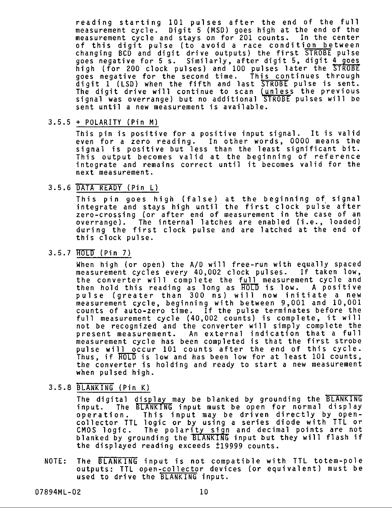reading starting 101 pulses after the end of the full measurement cycle. Digit 5 (MSD) goes high at the end of the measurement cycle and stays on for 201 counts. In the center of this digit pulse (to avoid a race condition between changing BCD and digit drive outputs) the first STROBE pulse goes negative for 5 s. Similarly, after digit 5, digit 4 goes high (for 200 clock pulses) and 100 pulses later the STROBE goes negative for the second time. This continues through digit 1 (LSD) when the fifth and last STROBE pulse is sent. The digit drive will continue to scan (unless the previous<br>signal was overrange) but no additional STROBE pulses will be sent until a new measurement is available.

#### $3.5.5 +$  POLARITY (Pin M)

This pin is positive for a positive input signal. It is valid even for a zero reading. In other words, 0000 means the signal is positive but less than the least significant bit. This output becomes valid at the beginning of reference integrate and remains correct until it becomes valid for the next measurement.

#### 3.5.6 DATA READY (Pin L)

This pin goes high (false) at the beginning of signal<br>integrate and stays high until the first clock pulse after zero-crossing (or after end of measurement in the case of an overrange). The internal latches are enabled (i.e., loaded) during the first clock pulse and are latched at the end of this clock pulse.

#### 3.5.7 HOLD (Pin 7)

When high (or open) the A/D will free-run with equally spaced measurement cycles every 40,002 clock pulses. If taken low, the converter will complete the full measurement cycle and then hold this reading as long as HOLD is low. A positive<br>pulse (greater than 300 ns) will now initiate a new measurement cycle, beginning with between 9,001 and 10,001 counts of auto-zero time. If the pulse terminates before the<br>full measurement cycle (40,002 counts) is complete, it will not be recognized and the converter will simply complete the present measurement. An external indication that a full measurement cycle has been completed is that the first strobe pulse will occur 101 counts after the end of this cycle. Thus, if HOLD is low and has been low for at least 101 counts, the converter is holding and ready to start a new measurement when pulsed high.

#### 3.5.8 BLANKING (Pin K)

The digital display may be blanked by grounding the BLANKING input. The BLANKING input must be open for normal display This input may be driven directly by openoperation. collector TTL logic or by using a series diode with TTL or CMOS logic. The polarity sign and decimal points are not<br>blanked by grounding the BLANKING input but they will flash if the displayed reading exceeds ±19999 counts.

The BLANKING input is not compatible with TTL totem-pole NOTE: outputs: TTL open-collector devices (or equivalent) must be used to drive the BLANKING input.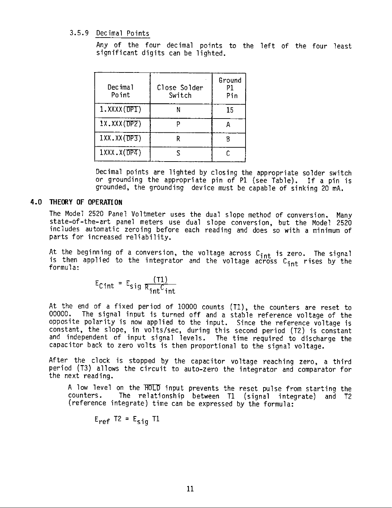#### 3.5.9 Decimal Points

Any of the four decimal points to the left of the four least significant digits can be lighted.

| Decimal<br>Point   | Close Solder<br>Switch | Ground<br>P1<br>Pin |
|--------------------|------------------------|---------------------|
| 1.XXXX (DPT)       |                        | 15                  |
| $1X$ . XXX $(DPZ)$ |                        | д                   |
| $IXX$ . $XX(TPP3)$ |                        |                     |
| $1$ XXX.X $(DP4)$  |                        |                     |

Decimal points are lighted by closing the appropriate solder switch or grounding the appropriate pin of P1 (see Table). If a pin is grounded, the grounding device must be capable of sinking 20 mA.

#### 4.0 THEORY OF OPERATION

The Model 2520 Panel Voltmeter uses the dual slope method of conversion. Many state-of-the-art panel meters use dual slope conversion, but the Model 2520 includes automatic zeroing before each reading and does so with a minimum of parts for increased reliability.

At the beginning of a conversion, the voltage across C<sub>int</sub> is zero. The signal<br>is then applied to the integrator and the voltage across C<sub>int</sub> rises by the formula:

$$
E_{\text{Cint}} = E_{\text{sig}} \frac{(T1)}{R_{\text{int}} C_{\text{int}}}
$$

At the end of a fixed period of 10000 counts (T1), the counters are reset to  $00000.$ The signal input is turned off and a stable reference voltage of the opposite polarity is now applied to the input. Since the reference voltage is constant, the slope, in volts/sec, during this second period (T2) is constant and independent of input signal levels. The time required to discharge the capacitor back to zero volts is then proportional to the signal voltage.

After the clock is stopped by the capacitor voltage reaching zero, a third period (T3) allows the circuit to auto-zero the integrator and comparator for the next reading.

A low level on the HOLD input prevents the reset pulse from starting the counters. The relationship between T1 (signal integrate) and T2 (reference integrate) time can be expressed by the formula:

$$
E_{ref} T2 = E_{sig} T1
$$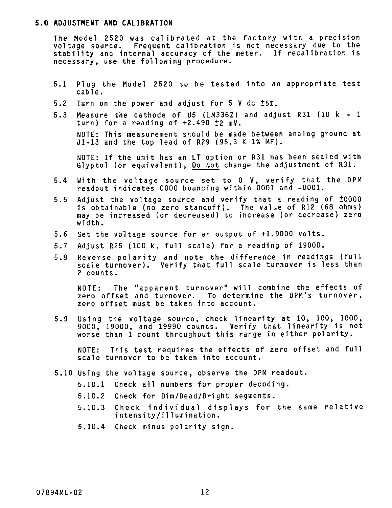#### 5.0 ADJUSTMENT AND CALIBRATION

The Model 2520 was calibrated at the factory with a precision voltage source. Frequent calibration is not necessary due to the stability and internal accuracy of the meter. If recalibration is necessary, use the following procedure.

- Plug the Model 2520 to be tested into an appropriate test  $5.1$  $cable.$
- $5.2$ Turn on the power and adjust for 5 V dc ±5%.
- Measure the cathode of  $US$  (LM336Z) and adjust R31 (10 k 1  $5.3$ turn) for a reading of  $+2.490 \pm 2$  mV.

NOTE: This measurement should be made between analog ground at J1-13 and the top lead of R29 (95.3 K 1% MF).

NOTE: If the unit has an LT option or R31 has been sealed with Glyptol (or equivalent), Do Not change the adjustment of R31.

- With the voltage source set to 0 V, verify that the DPM  $5.4$ readout indicates 0000 bouncing within 0001 and -0001.
- $5.5$ Adjust the voltage source and verify that a reading of  $\pm 0000$ is obtainable (no zero standoff). The value of R12 (68 ohms) may be increased (or decreased) to increase (or decrease) zero width.
- $5.6$ Set the voltage source for an output of +1.9000 volts.
- $5.7$ Adjust R25 (100 k, full scale) for a reading of 19000.
- Reverse polarity and note the difference in readings (full  $5.8$ scale turnover). Verify that full scale turnover is less than 2 counts.

NOTE: The "apparent turnover" will combine the effects of zero offset and turnover. To determine the DPM's turnover, zero offset must be taken into account.

Using the voltage source, check linearity at 10, 100, 1000,  $5.9$ 9000, 19000, and 19990 counts. Verify that linearity is not worse than 1 count throughout this range in either polarity.

This test requires the effects of zero offset and full NOTE: scale turnover to be taken into account.

- 5.10 Using the voltage source, observe the DPM readout.
	- 5.10.1 Check all numbers for proper decoding.
	- Check for Dim/Dead/Bright segments.  $5.10.2$
	- Check individual displays for the same relative  $5.10.3$ intensity/illumination.
	- 5.10.4 Check minus polarity sign.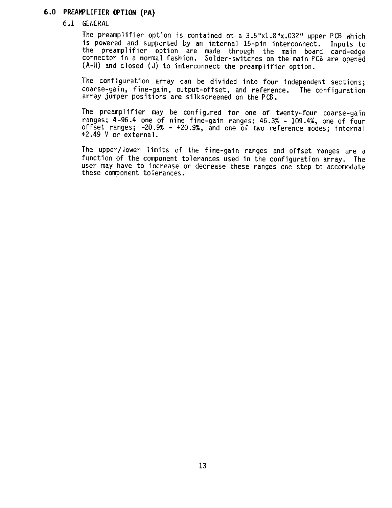#### 6.0 PREAMPLIFIER OPTION (PA)

#### 6.1 GENERAL

The preamplifier option is contained on a 3.5"x1.8"x.032" upper PCB which is powered and supported by an internal 15-pin interconnect. Inputs to<br>the preamplifier option are made through the main board card-edge<br>connector in a normal fashion. Solder-switches on the main PCB are opened (A-H) and closed (J) to interconnect the preamplifier option.

The configuration array can be divided into four independent sections; coarse-gain, fine-gain, output-offset, and reference. The configuration array jumper positions are silkscreened on the PCB.

The preamplifier may be configured for one of twenty-four coarse-gain ranges; 4-96.4 one of nine fine-gain ranges; 46.3% - 109.4%, one of four offset ranges; -20.9% - +20.9%, and one of two reference modes; internal +2.49 V or external.

The upper/lower limits of the fine-gain ranges and offset ranges are a function of the component tolerances used in the configuration array. The user may have to increase or decrease these ranges one step to accomodate these component tolerances.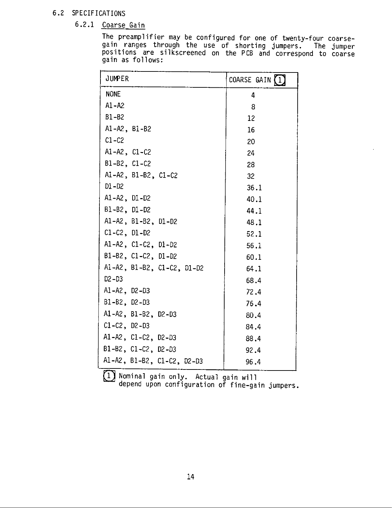#### 6.2 SPECIFICATIONS

## 6.2.1 Coarse Gain

 $\frac{1}{2}$ 

The preamplifier may be configured for one of twenty-four coarse-<br>gain ranges through the use of shorting jumpers. The jumper<br>positions are silkscreened on the PCB and correspond to coarse gain as follows:

| JUMPER                     | COARSE GAIN (1) |
|----------------------------|-----------------|
| <b>NONE</b>                | 4               |
| $A1 - A2$                  | 8               |
| $B1 - B2$                  | 12              |
| $AI - A2$ , $B1 - B2$      | 16              |
| $C1-C2$                    | 20              |
| A1-A2, $C1-C2$             | 24              |
| $B1 - B2$ , $C1 - C2$      | 28              |
| Al-A2, B1-B2, C1-C2        | 32              |
| $DI - D2$                  | 36.1            |
| A1-A2, D1-D2               | 40.1            |
| $B1 - B2$ , $D1 - D2$      | 44.1            |
| A1-A2, B1-B2, D1-D2        | 48.1            |
| $C1 - C2$ , $D1 - D2$      | 52.1            |
| A1-A2, C1-C2, D1-D2        | 56.1            |
| B1-B2, C1-C2, D1-D2        | 60.1            |
| Al-A2, B1-B2, C1-C2, D1-D2 | 64.1            |
| $D2 - D3$                  | 68.4            |
| $AI - A2$ , $D2 - D3$      | 72.4            |
| $B1 - B2$ , $D2 - D3$      | 76.4            |
| A1-A2, B1-B2, D2-D3        | 80.4            |
| $C1 - C2$ , $D2 - D3$      | 84.4            |
| A1-A2, $C1-C2$ , $D2-D3$   | 88.4            |
| B1-B2, C1-C2, D2-D3        | 92.4            |
| A1-A2, B1-B2, C1-C2, D2-D3 | 96.4            |

1 Nominal gain only. Actual gain will

depend upon configuration of fine-gain jumpers.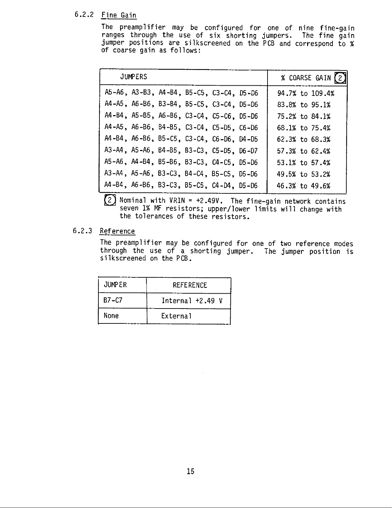#### 6.2.2 Fine Gain

The preamplifier may be configured for one of nine fine-gain ranges through the use of six shorting jumpers. The fine gain jumper positions are silkscreened on the PCB and correspond to % of coarse gain as follows:

| <b>JUMPERS</b>                           | % COARSE GAIN (2)  |
|------------------------------------------|--------------------|
| A5-A6, A3-B3, A4-B4, B5-C5, C3-C4, D5-D6 | 94.7% to 109.4%    |
| A4-A5, A6-B6, B3-B4, B5-C5, C3-C4, D5-D6 | 83.8% to 95.1%     |
| A4-B4, A5-B5, A6-B6, C3-C4, C5-C6, D5-D6 | 75.2% to 84.1%     |
| A4-A5, A6-B6, B4-B5, C3-C4, C5-D5, C6-D6 | 68.1% to 75.4%     |
| A4-B4, A6-B6, B5-C5, C3-C4, C6-D6, D4-D5 | $62.3%$ to $68.3%$ |
| A3-A4, A5-A6, B4-B5, B3-C3, C5-D5, D6-D7 | 57.3% to 62.4%     |
| A5-A6, A4-B4, B5-B6, B3-C3, C4-C5, D5-D6 | 53.1% to 57.4%     |
| A3-A4, A5-A6, B3-C3, B4-C4, B5-C5, D5-D6 | 49.5% to 53.2%     |
| A4-B4, A6-B6, B3-C3, B5-C5, C4-D4, D5-D6 | 46.3% to 49.6%     |



 $(2)$  Nominal with VRIN = +2.49V. The fine-gain network contains seven 1% MF resistors; upper/lower limits will change with the tolerances of these resistors.

#### 6.2.3 Reference

The preamplifier may be configured for one of two reference modes through the use of a shorting jumper. The jumper position is silkscreened on the PCB.

| <b>JUMPER</b> | <b>REFERENCE</b>   |  |  |
|---------------|--------------------|--|--|
| B7-C7         | Internal $+2.49$ V |  |  |
| None          | External           |  |  |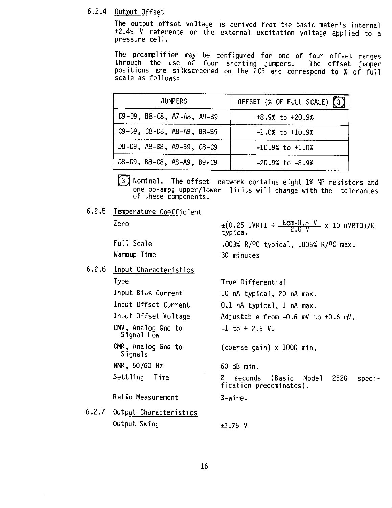#### 6.2.4 Output Offset

The output offset voltage is derived from the basic meter's internal +2.49 V reference or the external excitation voltage applied to a pressure cell.

The preamplifier may be configured for one of four offset ranges through the use of four shorting jumpers. The offset jumper positions are silkscreened on the PCB and correspond to % of full scale as follows:

| <b>JUMPERS</b>                    | OFFSET $(x$ OF FULL SCALE) $(3)$ |
|-----------------------------------|----------------------------------|
| $C9-D9$ , B8- $C8$ , A7-A8, A9-B9 | $+8.9%$ to $+20.9%$              |
| C9-D9, C8-D8, A8-A9, B8-B9        | $-1.0\%$ to $+10.9\%$            |
| D8-D9, A8-B8, A9-B9, C8-C9        | $-10.9%$ to $+1.0%$              |
| D8-D9, B8-C8, A8-A9, B9-C9        | $-20.9%$ to $-8.9%$              |

 $\left(3\right)$ Nominal. The offset network contains eight 1% MF resistors and one op-amp; upper/lower limits will change with the tolerances of these components.

6.2.5 Temperature Coefficient

Zero

**Type** 

Full Scale Warmup Time

6.2.6 Input Characteristics

 $\pm (0.25 \text{ uVRTI} + \frac{\text{Ecm}-0.5 \text{ V}}{2.0 \text{ V}} \times 10 \text{ uVRT0})/K$ typical .003% R/<sup>O</sup>C typical, .005% R/<sup>O</sup>C max. 30 minutes

True Differential Input Bias Current 10 nA typical, 20 nA max. Input Offset Current 0.1 nA typical, 1 nA max. Input Offset Voltage Adjustable from -0.6 mV to +0.6 mV. CMV, Analog Gnd to  $-1$  to  $+2.5$  V. Signal Low CMR, Analog Gnd to (coarse gain)  $x$  1000 min. Signals NMR, 50/60 Hz 60 dB min. Settling Time  $2<sup>7</sup>$ 2520

Ratio Measurement

- 6.2.7 Output Characteristics Output Swing
- seconds (Basic Model fication predominates).

speci-

 $3$ -wire.

 $±2.75$  V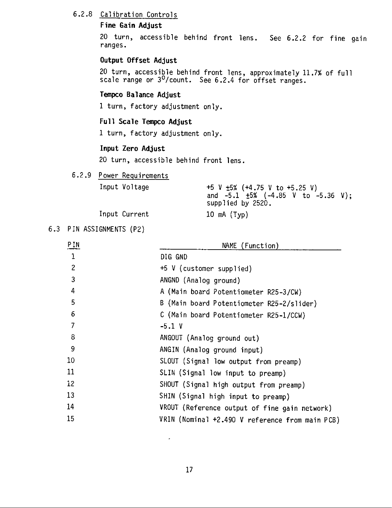#### 6.2.8 Calibration Controls

#### Fine Gain Adjust

20 turn, accessible behind front lens. See 6.2.2 for fine gain ranges.

#### Output Offset Adjust

20 turn, accessible behind front lens, approximately 11.7% of full scale range or 3<sup>0</sup>/count. See 6.2.4 for offset ranges.

#### Tempco Balance Adjust

1 turn, factory adjustment only.

#### Full Scale Tempco Adjust

1 turn, factory adjustment only.

#### Input Zero Adjust

20 turn, accessible behind front lens.

#### 6.2.9 Power Requirements

| Input Voltage | +5 V $\pm 5\%$ (+4.75 V to +5.25 V)<br>and $-5.1$ $\pm 5\%$ ( $-4.85$ V to $-5.36$ V);<br>supplied by 2520. |
|---------------|-------------------------------------------------------------------------------------------------------------|
| Input Current | 10 $mA$ (Typ)                                                                                               |

#### 6.3 PIN ASSIGNMENTS (P2)

| P IN              | NAME (Function)                                 |  |  |  |  |
|-------------------|-------------------------------------------------|--|--|--|--|
| 1                 | DIG GND                                         |  |  |  |  |
| $\overline{c}$    | +5 V (customer supplied)                        |  |  |  |  |
| 3                 | ANGND (Analog ground)                           |  |  |  |  |
| 4                 | A (Main board Potentiometer R25-3/CW)           |  |  |  |  |
| 5                 | B (Main board Potentiometer R25-2/slider)       |  |  |  |  |
| 6                 | C (Main board Potentiometer R25-1/CCW)          |  |  |  |  |
| 7                 | $-5.1$ V                                        |  |  |  |  |
| 8                 | ANGOUT (Analog ground out)                      |  |  |  |  |
| 9                 | ANGIN (Analog ground input)                     |  |  |  |  |
| 10 <sup>°</sup>   | SLOUT (Signal low output from preamp)           |  |  |  |  |
| 11                | SLIN (Signal low input to preamp)               |  |  |  |  |
| $12 \overline{ }$ | SHOUT (Signal high output from preamp)          |  |  |  |  |
| 13                | SHIN (Signal high input to preamp)              |  |  |  |  |
| 14                | VROUT (Reference output of fine gain network)   |  |  |  |  |
| 15                | VRIN (Nominal +2.490 V reference from main PCB) |  |  |  |  |
|                   |                                                 |  |  |  |  |

 $\ddot{\phantom{1}}$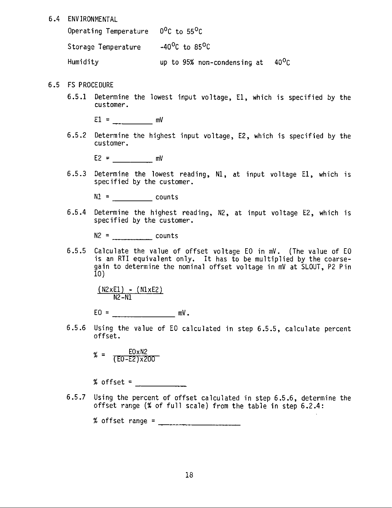6.4 ENVIRONMENTAL

Operating Temperature 0°C to 55°C Storage Temperature -40<sup>o</sup>C to 85<sup>o</sup>C Humidity up to 95% non-condensing at  $40^0C$ 

- 6.5 FS PROCEDURE
	- 6.5.1 Determine the lowest input voltage, E1, which is specified by the customer.

6.5.2 Determine the highest input voltage, E2, which is specified by the customer.

 $E2 = mV$ 

6.5.3 Determine the lowest reading, N1, at input voltage E1, which is specified by the customer.

 $N1 =$  counts

 $6.5.4$ Determine the highest reading, N2, at input voltage E2, which is specified by the customer.

 $N2 =$  counts

Calculate the value of offset voltage EO in mV. (The value of EO  $6.5.5$ is an RTI equivalent only. It has to be multiplied by the coarsegain to determine the nominal offset voltage in mV at SLOUT, P2 Pin  $10<sub>1</sub>$ 

 $\frac{(N2xE1) - (N1xE2)}{N2-N1}$ 

 $EO =$   $mV$ .

 $6.5.6$ Using the value of EO calculated in step 6.5.5, calculate percent offset.

 $\% = \frac{E0 \times N2}{(E0 - E2) \times 200}$ 

 $%$  offset =

 $6.5.7$ Using the percent of offset calculated in step 6.5.6, determine the offset range (% of full scale) from the table in step 6.2.4: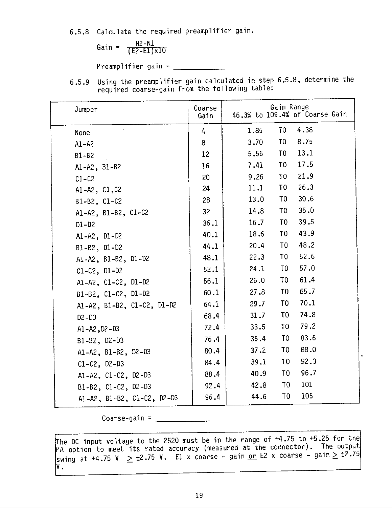6.5.8 Calculate the required preamplifier gain.

Gain = 
$$
\frac{N2 - N1}{(E2 - E1) \times 10}
$$

Preamplifier gain =  $\frac{1}{2}$ 

6.5.9 Using the preamplifier gain calculated in step 6.5.8, determine the<br>required coarse-gain from the following table:

| Jumper                     | Coarse<br>Gain | Gain Range<br>46.3% to 109.4% of Coarse Gain |
|----------------------------|----------------|----------------------------------------------|
| None                       | 4              | 4.38<br>1.85<br>TO T                         |
| $A1 - A2$                  | 8              | 8.75<br>T <sub>0</sub><br>3.70               |
| $B1 - B2$                  | 12             | 13.1<br>T0<br>5.56                           |
| $AI-AZ, B1-B2$             | 16             | 17.5<br>TO.<br>7.41                          |
| $C1-C2$                    | 20             | 21.9<br>T <sub>0</sub><br>9.26               |
| A1-A2, C1, C2              | 24             | 26.3<br>T <sub>0</sub><br>11.1               |
| B1-B2, C1-C2               | 28             | 30.6<br>T <sub>0</sub><br>13.0               |
| A1-A2, B1-B2, $C1-C2$      | 32             | 35.0<br>TO.<br>14.8                          |
| $D1 - D2$                  | 36.1           | 39.5<br>T <sub>0</sub><br>16.7               |
| $A1 - A2$ , $D1 - D2$      | 40.1           | 43.9<br>T <sub>0</sub><br>18.6               |
| B1-B2, D1-D2               | 44.1           | 48.2<br>T <sub>0</sub><br>20.4               |
| A1-A2, B1-B2, D1-D2        | 48.1           | 52.6<br>10 <sub>1</sub><br>22.3              |
| $C1 - C2$ , $D1 - D2$      | 52.1           | 57.0<br>10 <sub>1</sub><br>24.1              |
| A1-A2, C1-C2, D1-D2        | 56.1           | 61.4<br>10 <sub>1</sub><br>26.0              |
| B1-B2, C1-C2, D1-D2        | 60.1           | 65.7<br>T0<br>27.8                           |
| A1-A2, B1-B2, C1-C2, D1-D2 | 64.1           | 70.1<br>T <sub>0</sub><br>29.7               |
| $D2-D3$                    | 68.4           | 74.8<br>T <sub>0</sub><br>31.7               |
| $A1 - A2, D2 - D3$         | 72.4           | 79.2<br>T <sub>0</sub><br>33.5               |
| B1-B2, D2-D3               | 76.4           | 83.6<br>10 <sub>1</sub><br>35.4              |
| A1-A2, $B1-B2$ , $D2-D3$   | 80.4           | 88.0<br>T0<br>37.2                           |
| $C1 - C2$ , $D2 - D3$      | 84.4           | 92.3<br>10 <sub>1</sub><br>39.1              |
| A1-A2, $C1-C2$ , $D2-D3$   | 88.4           | 96.7<br>T <sub>0</sub><br>40.9               |
| B1-B2, C1-C2, D2-D3        | 92.4           | 101<br>T <sub>0</sub><br>42.8                |
| A1-A2, B1-B2, C1-C2, D2-D3 | 96.4           | 105<br>10 <sub>1</sub><br>44.6               |

Coarse-gain =  $\frac{1}{2}$ 

The DC input voltage to the 2520 must be in the range of  $+4.75$  to  $+5.25$  for the PA option to meet its rated accuracy (measured at the connector). The output swing at +4.75 V  $\geq$  ±2.75 V. El x coarse - gain <u>or</u> E2 x coarse - gain  $\geq$  ±2.75 ٧.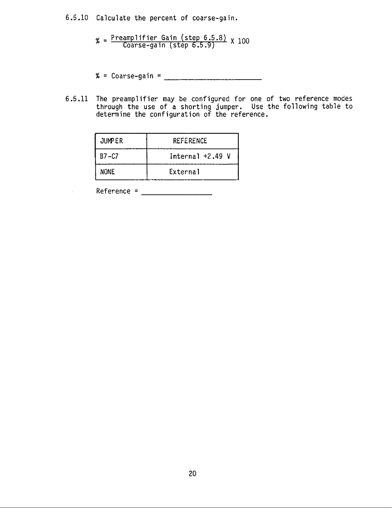6.5.10 Calculate the percent of coarse-gain.

 $\% = \frac{\text{Preamplifier Gain (step 6.5.8)}}{\text{Coarse-gain (step 6.5.9)}}$   $\times$  100

- % = Coarse-gain =  $\frac{1}{2}$
- 6.5.11 The preamplifier may be configured for one of two reference modes<br>through the use of a shorting jumper. Use the following table to<br>determine the configuration of the reference.

| <b>JUMPER</b> | REFERENCE          |  |
|---------------|--------------------|--|
| $B7 - C7$     | Internal $+2.49$ V |  |
| NONE          | External           |  |

 $Reference =$ 

t,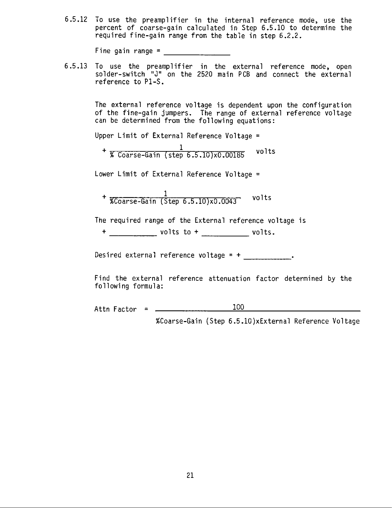6.5.12 To use the preamplifier in the internal reference mode, use the percent of coarse-gain calculated in Step 6.5.10 to determine the required fine-gain range from the table in step 6.2.2.

Fine gain range =  $\frac{1}{\sqrt{1-\frac{1}{2}}}\frac{1}{\sqrt{1-\frac{1}{2}}}\frac{1}{\sqrt{1-\frac{1}{2}}}\frac{1}{\sqrt{1-\frac{1}{2}}}\frac{1}{\sqrt{1-\frac{1}{2}}}\frac{1}{\sqrt{1-\frac{1}{2}}}\frac{1}{\sqrt{1-\frac{1}{2}}}\frac{1}{\sqrt{1-\frac{1}{2}}}\frac{1}{\sqrt{1-\frac{1}{2}}}\frac{1}{\sqrt{1-\frac{1}{2}}}\frac{1}{\sqrt{1-\frac{1}{2}}}\frac{1}{\sqrt{1-\frac{1}{2}}}\frac{1}{\sqrt{1-\$ 

To use the preamplifier in the external reference mode, open  $6.5.13$ solder-switch "J" on the 2520 main PCB and connect the external reference to P1-S.

> The external reference voltage is dependent upon the configuration of the fine-gain jumpers. The range of external reference voltage can be determined from the following equations:

Upper Limit of External Reference Voltage =

 $+\frac{1}{\% \text{ Coarse-Gain (step 6.5.10)} \times 0.00185}$ volts

Lower Limit of External Reference Voltage =

 $+$  %Coarse-Gain (Step 6.5.10)x0.0043 volts

The required range of the External reference voltage is

Desired external reference voltage =  $+$  \_\_\_\_\_\_\_\_\_\_\_\_\_.

Find the external reference attenuation factor determined by the following formula:

100 Attn Factor =  $\frac{1}{2}$ 

%Coarse-Gain (Step 6.5.10)xExternal Reference Voltage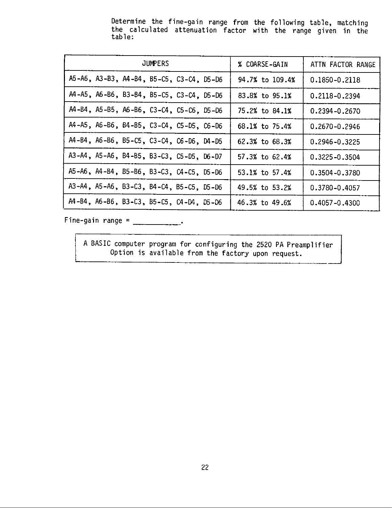Determine the fine-gain range from the following table, matching the calculated attenuation factor with the range given in the table:

| <b>JUMPERS</b> |  |                                          |  | % COARSE-GAIN | ATTN FACTOR RANGE |                   |
|----------------|--|------------------------------------------|--|---------------|-------------------|-------------------|
|                |  | A5-A6, A3-B3, A4-B4, B5-C5, C3-C4, D5-D6 |  |               | 94.7% to 109.4%   | 0.1850-0.2118     |
|                |  | A4-A5, A6-B6, B3-B4, B5-C5, C3-C4, D5-D6 |  |               | 83.8% to 95.1%    | 0.2118-0.2394     |
|                |  | A4-B4, A5-B5, A6-B6, C3-C4, C5-C6, D5-D6 |  |               | 75.2% to 84.1%    | 0.2394-0.2670     |
|                |  | A4-A5, A6-B6, B4-B5, C3-C4, C5-D5, C6-D6 |  |               | 68.1% to 75.4%    | 0.2670-0.2946     |
|                |  | A4-B4, A6-B6, B5-C5, C3-C4, C6-D6, D4-D5 |  |               | 62.3% to 68.3%    | 0.2946-0.3225     |
|                |  | A3-A4, A5-A6, B4-B5, B3-C3, C5-D5, D6-D7 |  |               | 57.3% to 62.4%    | $0.3225 - 0.3504$ |
|                |  | A5-A6, A4-B4, B5-B6, B3-C3, C4-C5, D5-D6 |  |               | 53.1% to 57.4%    | 0.3504-0.3780     |
|                |  | A3-A4, A5-A6, B3-C3, B4-C4, B5-C5, D5-D6 |  |               | 49.5% to 53.2%    | 0.3780-0.4057     |
|                |  | A4-B4, A6-B6, B3-C3, B5-C5, C4-D4, D5-D6 |  |               | 46.3% to 49.6%    | $0.4057 - 0.4300$ |

Fine-gain range =  $\frac{1}{2}$ 

A BASIC computer program for configuring the 2520 PA Preamplifier Option is available from the factory upon request.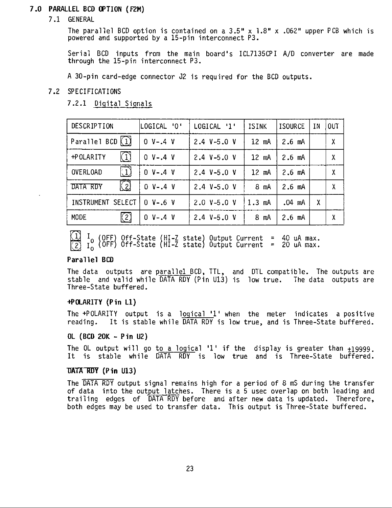#### 7.0 PARALLEL BCD OPTION (F2M)

7.1 GENERAL

The parallel BCD option is contained on a  $3.5" \times 1.8" \times .062"$  upper PCB which is powered and supported by a 15-pin interconnect P3.

Serial BCD inputs from the main board's ICL7135CPI A/D converter are made through the 15-pin interconnect P3.

A 30-pin card-edge connector J2 is required for the BCD outputs.

#### 7.2 SPECIFICATIONS

7.2.1 Digital Signals

| DESCRIPTION                    | LOGICAL 'O'  | LOGICAL '1'     | <b>ISINK</b>   | <b>ISOURCE</b> | IN | <b>OUT</b>                |
|--------------------------------|--------------|-----------------|----------------|----------------|----|---------------------------|
| Parallel BCD $(1)$             | $0 V - .4 V$ | 2.4 $V - 5.0 V$ | $12$ mA        | $2.6$ mA       |    | $\boldsymbol{\mathsf{X}}$ |
| $\left( 1\right)$<br>+POLARITY | $0 V - .4 V$ | 2.4 $V - 5.0 V$ | 12 mA          | $2.6$ mA       |    | χ                         |
| $\Box$<br>OVERLOAD             | $0 V - .4 V$ | $2.4 V-5.0 V$   | $12$ mA        | $2.6$ mA       |    | Χ                         |
| $\Omega$<br>DATA RDY           | $0 V - .4 V$ | $2.4 V-5.0 V$   | $8 \text{ mA}$ | $2.6$ mA       |    | χ                         |
| INSTRUMENT SELECT              | $0 V - .6 V$ | $2.0 V - 5.0 V$ | $1.3$ mA       | .04 mA         | χ  |                           |
| $\binom{2}{}$<br><b>MODE</b>   | $0 V - .4 V$ | $2.4 V-5.0 V$   | $8 \text{ mA}$ | $2.6$ mA       |    | χ                         |

 $\begin{pmatrix} 1 \ 1 \ 0 \end{pmatrix}$   $\begin{pmatrix} 0 \ 0 \end{pmatrix}$  off-State (HI-Z state) Output Current = 40 uA max.<br> $\begin{pmatrix} 2 \ 1 \end{pmatrix}$   $\begin{pmatrix} 0 \ 0 \end{pmatrix}$  off-State (HI-Z state) Output Current = 20 uA max.

#### Parallel BCD

The data outputs are parallel BCD, TTL, and DTL compatible. The outputs are stable and valid while DATA RDY (Pin U13) is low true. The data outputs are Three-State buffered.

#### +POLARITY (Pin L1)

The +POLARITY output is a logical '1' when the meter indicates a positive reading. It is stable while DATA RDY is low true, and is Three-State buffered.

#### OL (BCD 20K - Pin U2)

The OL output will go to a logical '1' if the display is greater than  $\pm 19999$ . It is stable while DATA RDY is low true and is Three-State buffered.

#### DATA RDY (Pin U13)

The DATA RDY output signal remains high for a period of 8 mS during the transfer of data into the output latches. There is a 5 usec overlap on both leading and trailing edges of DATA RDY before and after new data is updated. Therefore, both edges may be used to transfer data. This output is Three-State buffered.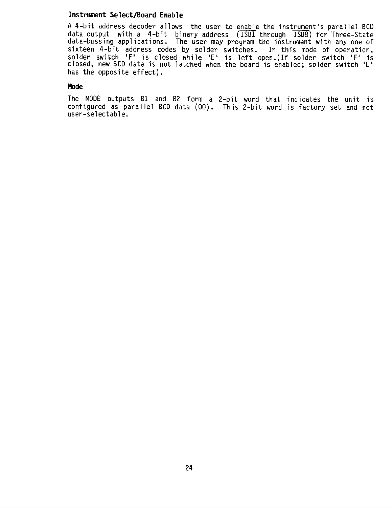#### Instrument Select/Board Enable

A 4-bit address decoder allows the user to enable the instrument's parallel BCD data output with a 4-bit binary address (ISBI through ISB8) for Three-State<br>data-bussing applications. The user may program the instrument with any one of sixteen 4-bit address codes by solder switches. In this mode of operation,<br>solder switch 'F' is closed while 'E' is left open. (If solder switch 'F' is<br>closed, new BCD data is not latched when the board is enabled; solder has the opposite effect).

#### **Mode**

The MODE outputs B1 and B2 form a 2-bit word that indicates the unit is configured as parallel BCD data (00). This 2-bit word is factory set and not user-selectable.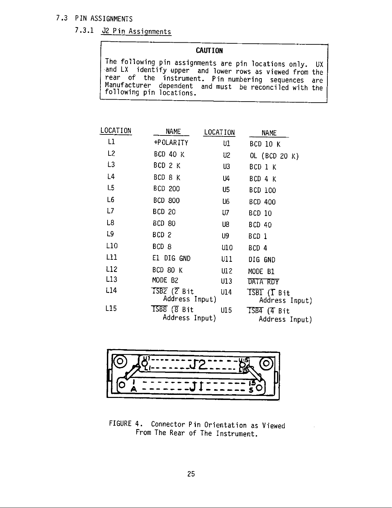#### 7.3 PIN ASSIGNMENTS

## 7.3.1 J2 Pin Assignments

#### **CAUTION**

The following pin assignments are pin locations only. UX and LX identify upper and lower rows as viewed from the<br>rear of the instrument. Pin numbering sequences are<br>Manufacturer dependent and must be reconciled with the following pin locations.

| LOCATION        | <b>NAME</b>                                                                     | LOCATION | <b>NAME</b>                        |
|-----------------|---------------------------------------------------------------------------------|----------|------------------------------------|
| L1              | +POLARITY                                                                       | U1       | BCD 10 K                           |
| L2              | <b>BCD 40 K</b>                                                                 | U2       | OL (BCD 20 K)                      |
| L3              | BCD 2 K                                                                         | U3       | BCD 1 K                            |
| L4              | BCD 8 K                                                                         | U4       | BCD 4 K                            |
| L5              | <b>BCD 200</b>                                                                  | U5       | BCD 100                            |
| L <sub>6</sub>  | <b>BCD 800</b>                                                                  | U6       | BCD 400                            |
| L7              | <b>BCD 20</b>                                                                   | U7 -     | BCD 10                             |
| L8              | BCD 80                                                                          | U8       | <b>BCD 40</b>                      |
| L9              | BCD <sub>2</sub>                                                                | U9       | BCD 1                              |
| L10             | BCD <sub>8</sub>                                                                | U10      | BCD 4                              |
| L11             | E1 DIG GND                                                                      | U11      | DIG GND                            |
| L <sub>12</sub> | BCD 80 K                                                                        | U12      | MODE B1                            |
| L13             | MODE B2                                                                         | U13 -    | DATA RDY                           |
| L14             | $TSBZ$ ( $\overline{Z}$ Bit<br>Address Input)                                   | U14      | $TSEI$ ( $T$ Bit<br>Address Input) |
| L15             | $\overline{\text{ISB8}}$ ( $\overline{\text{8}}$ $\text{Bit}$<br>Address Input) | U15      | $TSB4$ (4 Bit<br>Address Input)    |



FIGURE 4. Connector Pin Orientation as Viewed From The Rear of The Instrument.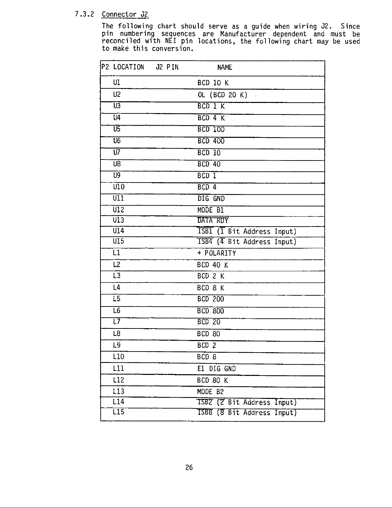#### 7.3.2 Connector J2

The following chart should serve as a guide when wiring J2. Since<br>pin numbering sequences are Manufacturer dependent and must be<br>reconciled with NEI pin locations, the following chart may be used<br>to make this conversion.

| P2 LOCATION J2 PIN       | <b>NAME</b>                |
|--------------------------|----------------------------|
| U1                       | <b>BCD 10 K</b>            |
| U <sub>2</sub>           | OL (BCD 20 K)              |
| Ū3                       | BCD 1 K                    |
| $\overline{u}$           | BCD 4 K                    |
| ण्ड                      | <b>BCD 100</b>             |
| $\overline{u}$           | <b>BCD 400</b>             |
| $\overline{U}$           | $BCD$ $10$                 |
| $\overline{UB}$          | $BCD$ 40                   |
| $\overline{U}9$          | BCD <sub>1</sub>           |
| $\overline{010}$         | BCD <sub>4</sub>           |
| $\overline{\mathtt{UI}}$ | DIG GND                    |
| $\overline{u}$           | MODE B1                    |
| $\overline{013}$         | DATA RDY                   |
| $\overline{014}$         | ISBI (I Bit Address Input) |
| U15                      | ISB4 (4 Bit Address Input) |
| L1                       | + POLARITY                 |
| L2                       | <b>BCD 40 K</b>            |
| $\overline{L3}$          | BCD 2 K                    |
| L4                       | BCD 8 K                    |
| $\overline{L5}$          | <b>BCD 200</b>             |
| $\overline{L6}$          | <b>BCD 800</b>             |
| T7                       | <b>BCD 20</b>              |
| L8                       | <b>BCD 80</b>              |
| L9                       | BCD <sub>2</sub>           |
| L <sub>10</sub>          | BCD <sub>8</sub>           |
| L11                      | E1 DIG GND                 |
| L12                      | BCD 80 K                   |
| L13                      | MODE B2                    |
| L14                      | ISBZ (Z Bit Address Input) |
| $\overline{L15}$         | ISBB (8 Bit Address Input) |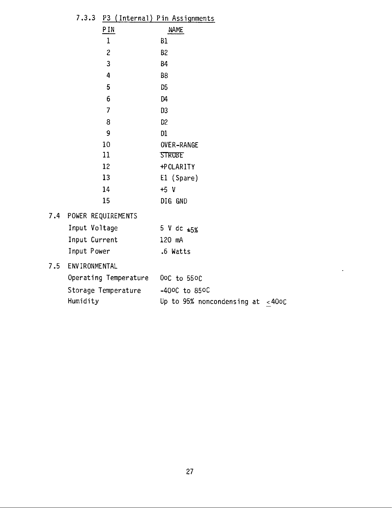| 7.3.3                 |                         | P3 (Internal) Pin Assignments       |  |
|-----------------------|-------------------------|-------------------------------------|--|
|                       | P IN                    | <b>NAME</b>                         |  |
|                       | $\mathbf 1$             | B1                                  |  |
|                       | $\overline{\mathbf{c}}$ | B <sub>2</sub>                      |  |
|                       | 3                       | <b>B4</b>                           |  |
|                       | 4                       | B <sub>8</sub>                      |  |
|                       | 5                       | D <sub>5</sub>                      |  |
|                       | 6                       | D <sub>4</sub>                      |  |
|                       | 7                       | D3                                  |  |
|                       | 8                       | D <sub>2</sub>                      |  |
|                       | 9                       | D1                                  |  |
|                       | 10                      | <b>OVER-RANGE</b>                   |  |
|                       | 11                      | <b>STROBE</b>                       |  |
|                       | 12                      | +POLARITY                           |  |
|                       | 13                      | El (Spare)                          |  |
|                       | 14                      | $+5$ V                              |  |
| 15                    |                         | DIG GND                             |  |
|                       | POWER REQUIREMENTS      |                                     |  |
| Input Voltage         |                         | 5 V dc $\pm 5\%$                    |  |
| Input Current         |                         | 120 mA                              |  |
| Input Power           |                         | .6 Watts                            |  |
| <b>ENVIRONMENTAL</b>  |                         |                                     |  |
| Operating Temperature |                         | 0oC to 550C                         |  |
| Storage Temperature   |                         | $-400C$ to 850C                     |  |
| Humidity              |                         | Up to 95% noncondensing at $<$ 40oC |  |
|                       |                         |                                     |  |

 $7.4$ 

 $7.5\,$ 

 $\sim$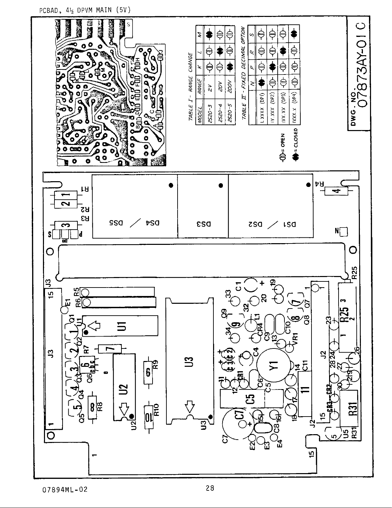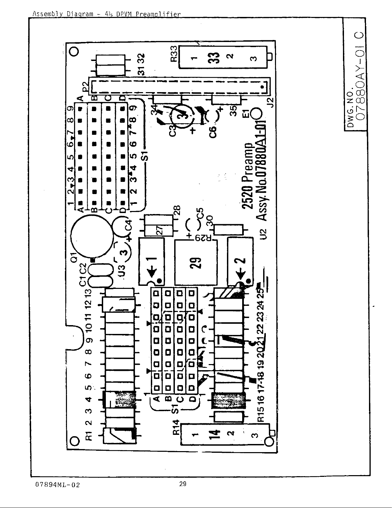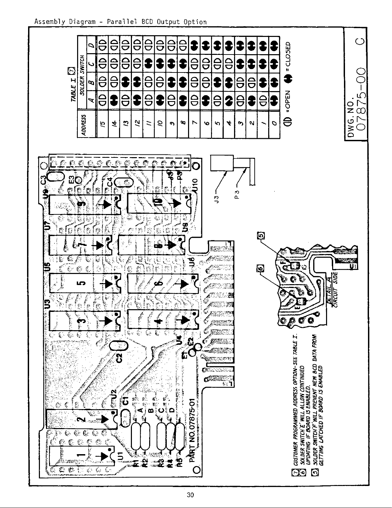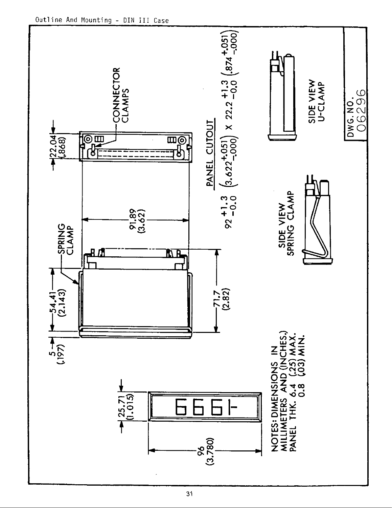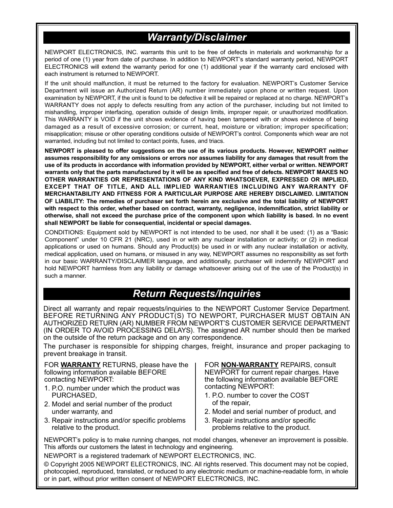## *Warranty/Disclaimer*

NEWPORT ELECTRONICS, INC. warrants this unit to be free of defects in materials and workmanship for a period of one (1) year from date of purchase. In addition to NEWPORT's standard warranty period, NEWPORT ELECTRONICS will extend the warranty period for one (1) additional year if the warranty card enclosed with each instrument is returned to NEWPORT.

If the unit should malfunction, it must be returned to the factory for evaluation. NEWPORT's Customer Service Department will issue an Authorized Return (AR) number immediately upon phone or written request. Upon examination by NEWPORT, if the unit is found to be defective it will be repaired or replaced at no charge. NEWPORT's WARRANTY does not apply to defects resulting from any action of the purchaser, including but not limited to mishandling, improper interfacing, operation outside of design limits, improper repair, or unauthorized modification. This WARRANTY is VOID if the unit shows evidence of having been tampered with or shows evidence of being damaged as a result of excessive corrosion; or current, heat, moisture or vibration; improper specification; misapplication; misuse or other operating conditions outside of NEWPORT's control. Components which wear are not warranted, including but not limited to contact points, fuses, and triacs.

**NEWPORT is pleased to offer suggestions on the use of its various products. However, NEWPORT neither assumes responsibility for any omissions or errors nor assumes liability for any damages that result from the use of its products in accordance with information provided by NEWPORT, either verbal or written. NEWPORT warrants only that the parts manufactured by it will be as specified and free of defects. NEWPORT MAKES NO OTHER WARRANTIES OR REPRESENTATIONS OF ANY KIND WHATSOEVER, EXPRESSED OR IMPLIED, EXCEPT THAT OF TITLE, AND ALL IMPLIED WARRANTIES INCLUDING ANY WARRANTY OF MERCHANTABILITY AND FITNESS FOR A PARTICULAR PURPOSE ARE HEREBY DISCLAIMED. LIMITATION OF LIABILITY: The remedies of purchaser set forth herein are exclusive and the total liability of NEWPORT with respect to this order, whether based on contract, warranty, negligence, indemnification, strict liability or otherwise, shall not exceed the purchase price of the component upon which liability is based. In no event shall NEWPORT be liable for consequential, incidental or special damages.**

CONDITIONS: Equipment sold by NEWPORT is not intended to be used, nor shall it be used: (1) as a "Basic Component" under 10 CFR 21 (NRC), used in or with any nuclear installation or activity; or (2) in medical applications or used on humans. Should any Product(s) be used in or with any nuclear installation or activity, medical application, used on humans, or misused in any way, NEWPORT assumes no responsibility as set forth in our basic WARRANTY/DISCLAIMER language, and additionally, purchaser will indemnify NEWPORT and hold NEWPORT harmless from any liability or damage whatsoever arising out of the use of the Product(s) in such a manner.

## *Return Requests/Inquiries*

Direct all warranty and repair requests/inquiries to the NEWPORT Customer Service Department. BEFORE RETURNING ANY PRODUCT(S) TO NEWPORT, PURCHASER MUST OBTAIN AN AUTHORIZED RETURN (AR) NUMBER FROM NEWPORT'S CUSTOMER SERVICE DEPARTMENT (IN ORDER TO AVOID PROCESSING DELAYS). The assigned AR number should then be marked on the outside of the return package and on any correspondence.

The purchaser is responsible for shipping charges, freight, insurance and proper packaging to prevent breakage in transit.

FOR **WARRANTY** RETURNS, please have the following information available BEFORE contacting NEWPORT:

- 1. P.O. number under which the product was PURCHASED,
- 2. Model and serial number of the product under warranty, and
- 3. Repair instructions and/or specific problems relative to the product.

FOR **NON-WARRANTY** REPAIRS, consult NEWPORT for current repair charges. Have the following information available BEFORE contacting NEWPORT:

- 1. P.O. number to cover the COST of the repair,
- 2. Model and serial number of product, and
- 3. Repair instructions and/or specific problems relative to the product.

NEWPORT's policy is to make running changes, not model changes, whenever an improvement is possible. This affords our customers the latest in technology and engineering.

NEWPORT is a registered trademark of NEWPORT ELECTRONICS, INC.

© Copyright 2005 NEWPORT ELECTRONICS, INC. All rights reserved. This document may not be copied, photocopied, reproduced, translated, or reduced to any electronic medium or machine-readable form, in whole or in part, without prior written consent of NEWPORT ELECTRONICS, INC.